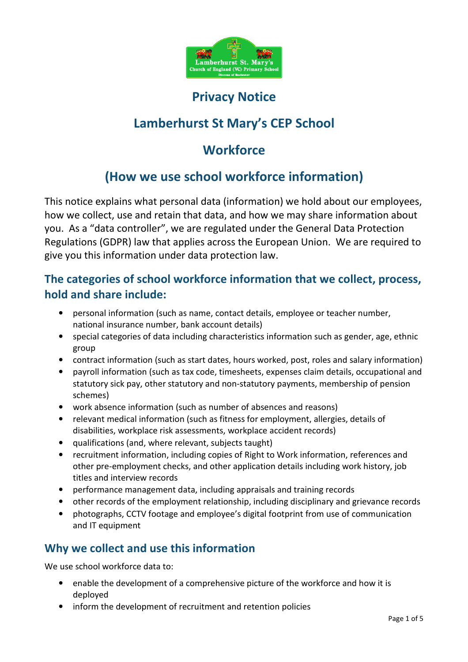

# Privacy Notice

# Lamberhurst St Mary's CEP School

# **Workforce**

# (How we use school workforce information)

This notice explains what personal data (information) we hold about our employees, how we collect, use and retain that data, and how we may share information about you. As a "data controller", we are regulated under the General Data Protection Regulations (GDPR) law that applies across the European Union. We are required to give you this information under data protection law.

## The categories of school workforce information that we collect, process, hold and share include:

- personal information (such as name, contact details, employee or teacher number, national insurance number, bank account details)
- special categories of data including characteristics information such as gender, age, ethnic group
- contract information (such as start dates, hours worked, post, roles and salary information)
- payroll information (such as tax code, timesheets, expenses claim details, occupational and statutory sick pay, other statutory and non-statutory payments, membership of pension schemes)
- work absence information (such as number of absences and reasons)
- relevant medical information (such as fitness for employment, allergies, details of disabilities, workplace risk assessments, workplace accident records)
- qualifications (and, where relevant, subjects taught)
- recruitment information, including copies of Right to Work information, references and other pre-employment checks, and other application details including work history, job titles and interview records
- performance management data, including appraisals and training records
- other records of the employment relationship, including disciplinary and grievance records
- photographs, CCTV footage and employee's digital footprint from use of communication and IT equipment

# Why we collect and use this information

We use school workforce data to:

- enable the development of a comprehensive picture of the workforce and how it is deployed
- inform the development of recruitment and retention policies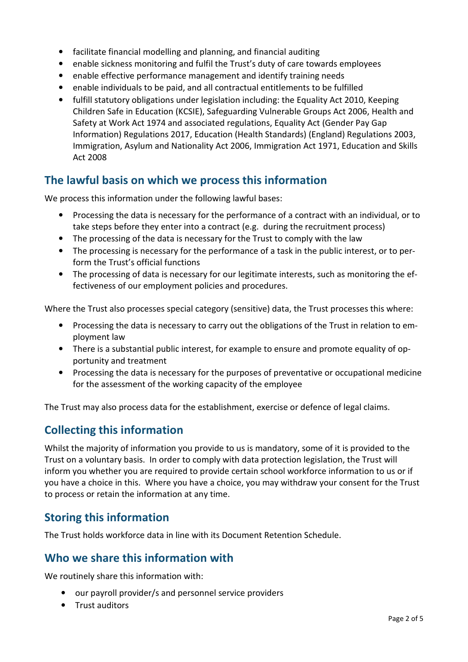- facilitate financial modelling and planning, and financial auditing
- enable sickness monitoring and fulfil the Trust's duty of care towards employees
- enable effective performance management and identify training needs
- enable individuals to be paid, and all contractual entitlements to be fulfilled
- fulfill statutory obligations under legislation including: the Equality Act 2010, Keeping Children Safe in Education (KCSIE), Safeguarding Vulnerable Groups Act 2006, Health and Safety at Work Act 1974 and associated regulations, Equality Act (Gender Pay Gap Information) Regulations 2017, Education (Health Standards) (England) Regulations 2003, Immigration, Asylum and Nationality Act 2006, Immigration Act 1971, Education and Skills Act 2008

## The lawful basis on which we process this information

We process this information under the following lawful bases:

- Processing the data is necessary for the performance of a contract with an individual, or to take steps before they enter into a contract (e.g. during the recruitment process)
- The processing of the data is necessary for the Trust to comply with the law
- The processing is necessary for the performance of a task in the public interest, or to perform the Trust's official functions
- The processing of data is necessary for our legitimate interests, such as monitoring the effectiveness of our employment policies and procedures.

Where the Trust also processes special category (sensitive) data, the Trust processes this where:

- Processing the data is necessary to carry out the obligations of the Trust in relation to employment law
- There is a substantial public interest, for example to ensure and promote equality of opportunity and treatment
- Processing the data is necessary for the purposes of preventative or occupational medicine for the assessment of the working capacity of the employee

The Trust may also process data for the establishment, exercise or defence of legal claims.

### Collecting this information

Whilst the majority of information you provide to us is mandatory, some of it is provided to the Trust on a voluntary basis. In order to comply with data protection legislation, the Trust will inform you whether you are required to provide certain school workforce information to us or if you have a choice in this. Where you have a choice, you may withdraw your consent for the Trust to process or retain the information at any time.

### Storing this information

The Trust holds workforce data in line with its Document Retention Schedule.

#### Who we share this information with

We routinely share this information with:

- our payroll provider/s and personnel service providers
- Trust auditors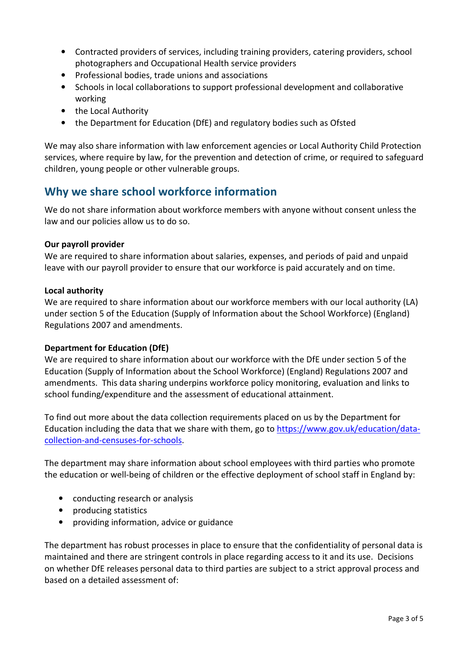- Contracted providers of services, including training providers, catering providers, school photographers and Occupational Health service providers
- Professional bodies, trade unions and associations
- Schools in local collaborations to support professional development and collaborative working
- the Local Authority
- the Department for Education (DfE) and regulatory bodies such as Ofsted

We may also share information with law enforcement agencies or Local Authority Child Protection services, where require by law, for the prevention and detection of crime, or required to safeguard children, young people or other vulnerable groups.

## Why we share school workforce information

We do not share information about workforce members with anyone without consent unless the law and our policies allow us to do so.

#### Our payroll provider

We are required to share information about salaries, expenses, and periods of paid and unpaid leave with our payroll provider to ensure that our workforce is paid accurately and on time.

#### Local authority

We are required to share information about our workforce members with our local authority (LA) under section 5 of the Education (Supply of Information about the School Workforce) (England) Regulations 2007 and amendments.

#### Department for Education (DfE)

We are required to share information about our workforce with the DfE under section 5 of the Education (Supply of Information about the School Workforce) (England) Regulations 2007 and amendments. This data sharing underpins workforce policy monitoring, evaluation and links to school funding/expenditure and the assessment of educational attainment.

To find out more about the data collection requirements placed on us by the Department for Education including the data that we share with them, go to https://www.gov.uk/education/datacollection-and-censuses-for-schools.

The department may share information about school employees with third parties who promote the education or well-being of children or the effective deployment of school staff in England by:

- conducting research or analysis
- producing statistics
- providing information, advice or guidance

The department has robust processes in place to ensure that the confidentiality of personal data is maintained and there are stringent controls in place regarding access to it and its use. Decisions on whether DfE releases personal data to third parties are subject to a strict approval process and based on a detailed assessment of: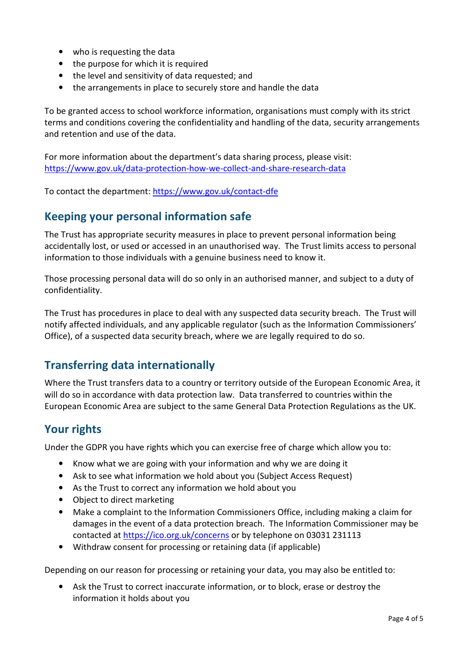- who is requesting the data
- the purpose for which it is required
- the level and sensitivity of data requested; and
- the arrangements in place to securely store and handle the data

To be granted access to school workforce information, organisations must comply with its strict terms and conditions covering the confidentiality and handling of the data, security arrangements and retention and use of the data.

For more information about the department's data sharing process, please visit: https://www.gov.uk/data-protection-how-we-collect-and-share-research-data

To contact the department: https://www.gov.uk/contact-dfe

### Keeping your personal information safe

The Trust has appropriate security measures in place to prevent personal information being accidentally lost, or used or accessed in an unauthorised way. The Trust limits access to personal information to those individuals with a genuine business need to know it.

Those processing personal data will do so only in an authorised manner, and subject to a duty of confidentiality.

The Trust has procedures in place to deal with any suspected data security breach. The Trust will notify affected individuals, and any applicable regulator (such as the Information Commissioners' Office), of a suspected data security breach, where we are legally required to do so.

## Transferring data internationally

Where the Trust transfers data to a country or territory outside of the European Economic Area, it will do so in accordance with data protection law. Data transferred to countries within the European Economic Area are subject to the same General Data Protection Regulations as the UK.

### Your rights

Under the GDPR you have rights which you can exercise free of charge which allow you to:

- Know what we are going with your information and why we are doing it
- Ask to see what information we hold about you (Subject Access Request)
- As the Trust to correct any information we hold about you
- Object to direct marketing
- Make a complaint to the Information Commissioners Office, including making a claim for damages in the event of a data protection breach. The Information Commissioner may be contacted at https://ico.org.uk/concerns or by telephone on 03031 231113
- Withdraw consent for processing or retaining data (if applicable)

Depending on our reason for processing or retaining your data, you may also be entitled to:

• Ask the Trust to correct inaccurate information, or to block, erase or destroy the information it holds about you